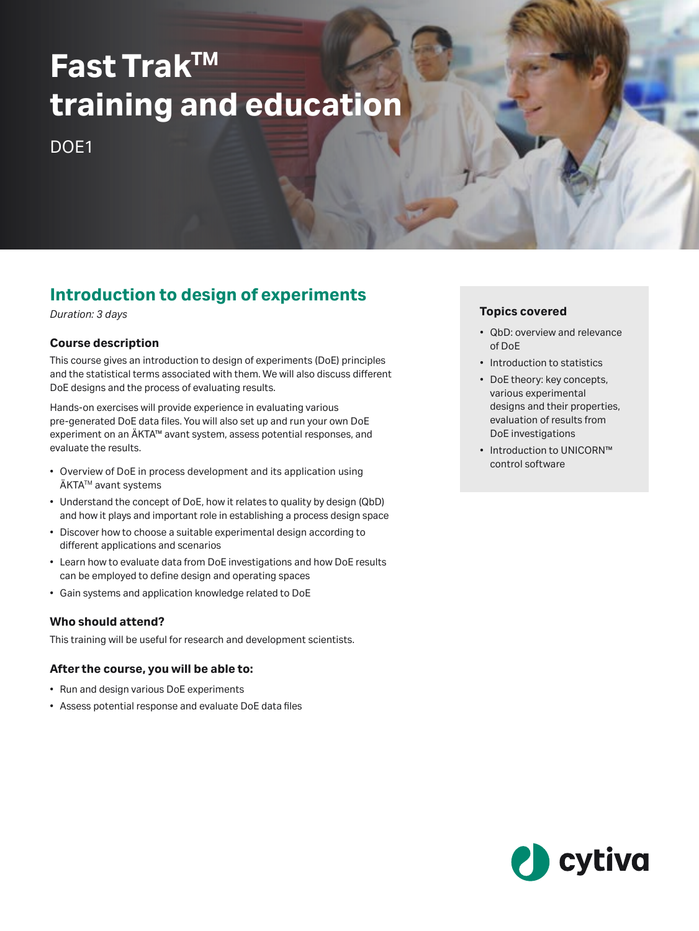# **Fast TrakTM training and education**

DO<sub>F1</sub>

# **Introduction to design of experiments**

*Duration: 3 days*

# **Course description**

This course gives an introduction to design of experiments (DoE) principles and the statistical terms associated with them. We will also discuss different DoE designs and the process of evaluating results.

Hands‑on exercises will provide experience in evaluating various pre‑generated DoE data files. You will also set up and run your own DoE experiment on an ÄKTA™ avant system, assess potential responses, and evaluate the results.

- Overview of DoE in process development and its application using ÄKTA™ avant systems
- Understand the concept of DoE, how it relates to quality by design (QbD) and how it plays and important role in establishing a process design space
- Discover how to choose a suitable experimental design according to different applications and scenarios
- Learn how to evaluate data from DoE investigations and how DoE results can be employed to define design and operating spaces
- Gain systems and application knowledge related to DoE

# **Who should attend?**

This training will be useful for research and development scientists.

# **After the course, you will be able to:**

- Run and design various DoE experiments
- • Assess potential response and evaluate DoE data files

# **Topics covered**

- QbD: overview and relevance of DoE
- Introduction to statistics
- DoE theory: key concepts, various experimental designs and their properties, evaluation of results from DoE investigations
- Introduction to UNICORN™ control software

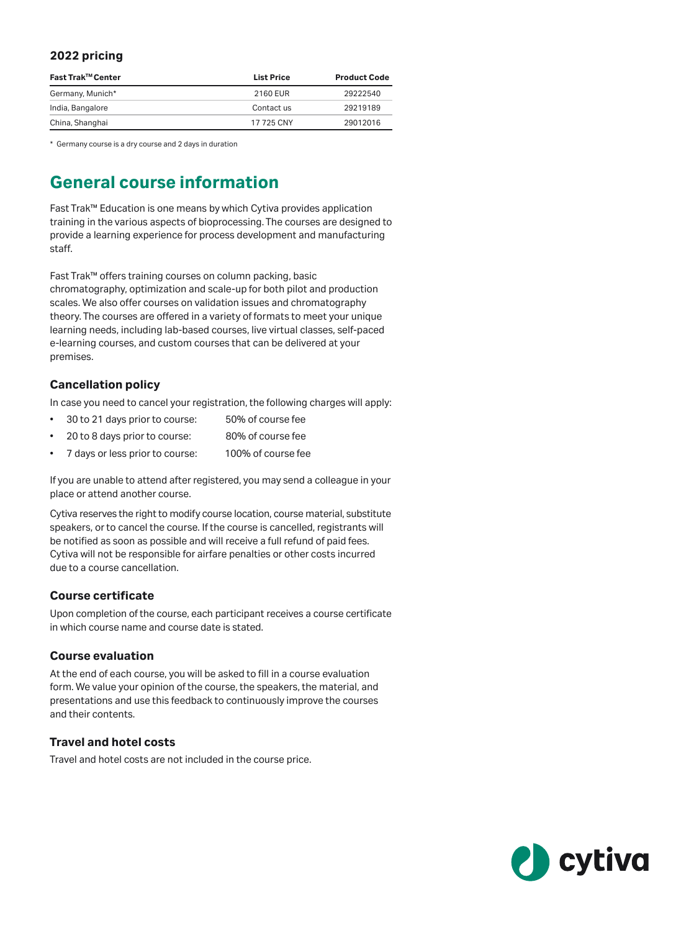# **2022 pricing**

| Fast Trak™ Center | <b>List Price</b> | <b>Product Code</b> |
|-------------------|-------------------|---------------------|
| Germany, Munich*  | 2160 EUR          | 29222540            |
| India, Bangalore  | Contact us        | 29219189            |
| China, Shanghai   | 17 725 CNY        | 29012016            |

\* Germany course is a dry course and 2 days in duration

# **General course information**

Fast Trak™ Education is one means by which Cytiva provides application training in the various aspects of bioprocessing. The courses are designed to provide a learning experience for process development and manufacturing staff.

Fast Trak™ offers training courses on column packing, basic chromatography, optimization and scale-up for both pilot and production scales. We also offer courses on validation issues and chromatography theory. The courses are offered in a variety of formats to meet your unique learning needs, including lab-based courses, live virtual classes, self-paced e-learning courses, and custom courses that can be delivered at your premises.

## **Cancellation policy**

In case you need to cancel your registration, the following charges will apply:

- 30 to 21 days prior to course: 50% of course fee
- 20 to 8 days prior to course: 80% of course fee
- 7 days or less prior to course: 100% of course fee

If you are unable to attend after registered, you may send a colleague in your place or attend another course.

Cytiva reserves the right to modify course location, course material, substitute speakers, or to cancel the course. If the course is cancelled, registrants will be notified as soon as possible and will receive a full refund of paid fees. Cytiva will not be responsible for airfare penalties or other costs incurred due to a course cancellation.

#### **Course certificate**

Upon completion of the course, each participant receives a course certificate in which course name and course date is stated.

#### **Course evaluation**

At the end of each course, you will be asked to fill in a course evaluation form. We value your opinion of the course, the speakers, the material, and presentations and use this feedback to continuously improve the courses and their contents.

## **Travel and hotel costs**

Travel and hotel costs are not included in the course price.